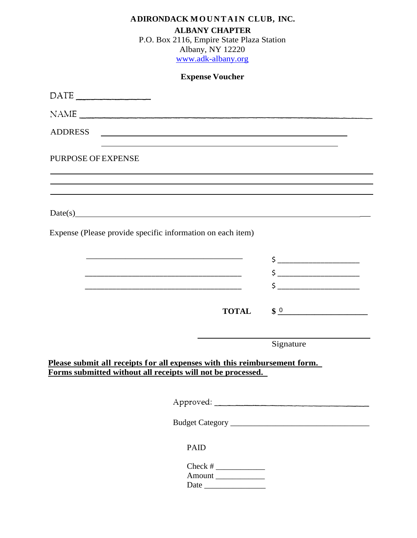| ADIRONDACK MOUNTAIN CLUB, INC.<br><b>ALBANY CHAPTER</b><br>P.O. Box 2116, Empire State Plaza Station<br>Albany, NY 12220<br>www.adk-albany.org                                                                                |                                                                                                                                                                                                                                                                                                                     |
|-------------------------------------------------------------------------------------------------------------------------------------------------------------------------------------------------------------------------------|---------------------------------------------------------------------------------------------------------------------------------------------------------------------------------------------------------------------------------------------------------------------------------------------------------------------|
| <b>Expense Voucher</b>                                                                                                                                                                                                        |                                                                                                                                                                                                                                                                                                                     |
| $\text{DATE}$                                                                                                                                                                                                                 |                                                                                                                                                                                                                                                                                                                     |
| NAME                                                                                                                                                                                                                          |                                                                                                                                                                                                                                                                                                                     |
| <b>ADDRESS</b><br><u> 1989 - Johann Stoff, deutscher Stoffen und der Stoffen und der Stoffen und der Stoffen und der Stoffen und der</u>                                                                                      |                                                                                                                                                                                                                                                                                                                     |
| <b>PURPOSE OF EXPENSE</b>                                                                                                                                                                                                     |                                                                                                                                                                                                                                                                                                                     |
| Date(s)                                                                                                                                                                                                                       |                                                                                                                                                                                                                                                                                                                     |
| Expense (Please provide specific information on each item)                                                                                                                                                                    |                                                                                                                                                                                                                                                                                                                     |
|                                                                                                                                                                                                                               | $\begin{array}{c} \n \uparrow \text{S} \end{array}$                                                                                                                                                                                                                                                                 |
|                                                                                                                                                                                                                               | $\frac{1}{2}$ $\frac{1}{2}$ $\frac{1}{2}$ $\frac{1}{2}$ $\frac{1}{2}$ $\frac{1}{2}$ $\frac{1}{2}$ $\frac{1}{2}$ $\frac{1}{2}$ $\frac{1}{2}$ $\frac{1}{2}$ $\frac{1}{2}$ $\frac{1}{2}$ $\frac{1}{2}$ $\frac{1}{2}$ $\frac{1}{2}$ $\frac{1}{2}$ $\frac{1}{2}$ $\frac{1}{2}$ $\frac{1}{2}$ $\frac{1}{2}$ $\frac{1}{2}$ |
| the control of the control of the control of the control of the control of the control of the control of the control of the control of the control of the control of the control of the control of the control of the control |                                                                                                                                                                                                                                                                                                                     |
| <b>TOTAL</b>                                                                                                                                                                                                                  | $\frac{1}{2}$                                                                                                                                                                                                                                                                                                       |
|                                                                                                                                                                                                                               |                                                                                                                                                                                                                                                                                                                     |
| Please submit all receipts for all expenses with this reimbursement form.<br>Forms submitted without all receipts will not be processed.                                                                                      | Signature                                                                                                                                                                                                                                                                                                           |
|                                                                                                                                                                                                                               |                                                                                                                                                                                                                                                                                                                     |
|                                                                                                                                                                                                                               |                                                                                                                                                                                                                                                                                                                     |
| <b>PAID</b><br>Check # $\frac{1}{\sqrt{2}}$<br>Amount                                                                                                                                                                         |                                                                                                                                                                                                                                                                                                                     |